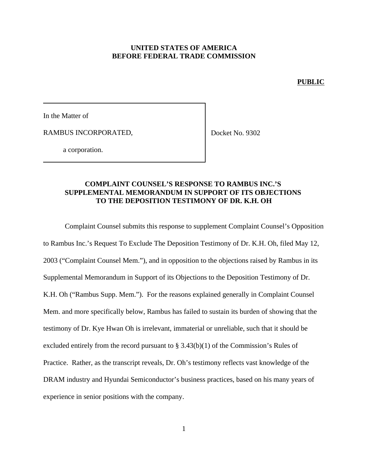#### **UNITED STATES OF AMERICA BEFORE FEDERAL TRADE COMMISSION**

#### **PUBLIC**

In the Matter of

RAMBUS INCORPORATED,

Docket No. 9302

a corporation.

#### **COMPLAINT COUNSEL'S RESPONSE TO RAMBUS INC.'S SUPPLEMENTAL MEMORANDUM IN SUPPORT OF ITS OBJECTIONS TO THE DEPOSITION TESTIMONY OF DR. K.H. OH**

Complaint Counsel submits this response to supplement Complaint Counsel's Opposition to Rambus Inc.'s Request To Exclude The Deposition Testimony of Dr. K.H. Oh, filed May 12, 2003 ("Complaint Counsel Mem."), and in opposition to the objections raised by Rambus in its Supplemental Memorandum in Support of its Objections to the Deposition Testimony of Dr. K.H. Oh ("Rambus Supp. Mem."). For the reasons explained generally in Complaint Counsel Mem. and more specifically below, Rambus has failed to sustain its burden of showing that the testimony of Dr. Kye Hwan Oh is irrelevant, immaterial or unreliable, such that it should be excluded entirely from the record pursuant to § 3.43(b)(1) of the Commission's Rules of Practice. Rather, as the transcript reveals, Dr. Oh's testimony reflects vast knowledge of the DRAM industry and Hyundai Semiconductor's business practices, based on his many years of experience in senior positions with the company.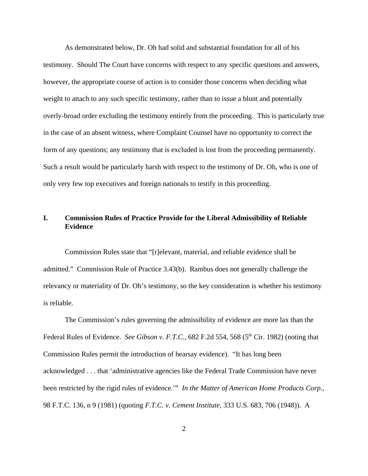As demonstrated below, Dr. Oh had solid and substantial foundation for all of his testimony. Should The Court have concerns with respect to any specific questions and answers, however, the appropriate course of action is to consider those concerns when deciding what weight to attach to any such specific testimony, rather than to issue a blunt and potentially overly-broad order excluding the testimony entirely from the proceeding. This is particularly true in the case of an absent witness, where Complaint Counsel have no opportunity to correct the form of any questions; any testimony that is excluded is lost from the proceeding permanently. Such a result would be particularly harsh with respect to the testimony of Dr. Oh, who is one of only very few top executives and foreign nationals to testify in this proceeding.

# **I. Commission Rules of Practice Provide for the Liberal Admissibility of Reliable Evidence**

Commission Rules state that "[r]elevant, material, and reliable evidence shall be admitted." Commission Rule of Practice 3.43(b). Rambus does not generally challenge the relevancy or materiality of Dr. Oh's testimony, so the key consideration is whether his testimony is reliable.

The Commission's rules governing the admissibility of evidence are more lax than the Federal Rules of Evidence. *See Gibson v. F.T.C.*, 682 F.2d 554, 568 (5<sup>th</sup> Cir. 1982) (noting that Commission Rules permit the introduction of hearsay evidence). "It has long been acknowledged . . . that 'administrative agencies like the Federal Trade Commission have never been restricted by the rigid rules of evidence.'" *In the Matter of American Home Products Corp.*, 98 F.T.C. 136, n 9 (1981) (quoting *F.T.C. v. Cement Institute*, 333 U.S. 683, 706 (1948)). A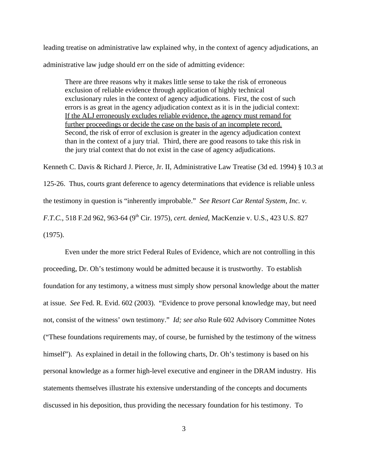leading treatise on administrative law explained why, in the context of agency adjudications, an administrative law judge should err on the side of admitting evidence:

There are three reasons why it makes little sense to take the risk of erroneous exclusion of reliable evidence through application of highly technical exclusionary rules in the context of agency adjudications. First, the cost of such errors is as great in the agency adjudication context as it is in the judicial context: If the ALJ erroneously excludes reliable evidence, the agency must remand for further proceedings or decide the case on the basis of an incomplete record. Second, the risk of error of exclusion is greater in the agency adjudication context than in the context of a jury trial. Third, there are good reasons to take this risk in the jury trial context that do not exist in the case of agency adjudications.

Kenneth C. Davis & Richard J. Pierce, Jr. II, Administrative Law Treatise (3d ed. 1994) § 10.3 at 125-26. Thus, courts grant deference to agency determinations that evidence is reliable unless the testimony in question is "inherently improbable." *See Resort Car Rental System, Inc. v. F.T.C.*, 518 F.2d 962, 963-64 (9th Cir. 1975), *cert. denied*, MacKenzie v. U.S., 423 U.S. 827 (1975).

Even under the more strict Federal Rules of Evidence, which are not controlling in this proceeding, Dr. Oh's testimony would be admitted because it is trustworthy. To establish foundation for any testimony, a witness must simply show personal knowledge about the matter at issue. *See* Fed. R. Evid. 602 (2003). "Evidence to prove personal knowledge may, but need not, consist of the witness' own testimony." *Id; see also* Rule 602 Advisory Committee Notes ("These foundations requirements may, of course, be furnished by the testimony of the witness himself"). As explained in detail in the following charts, Dr. Oh's testimony is based on his personal knowledge as a former high-level executive and engineer in the DRAM industry. His statements themselves illustrate his extensive understanding of the concepts and documents discussed in his deposition, thus providing the necessary foundation for his testimony. To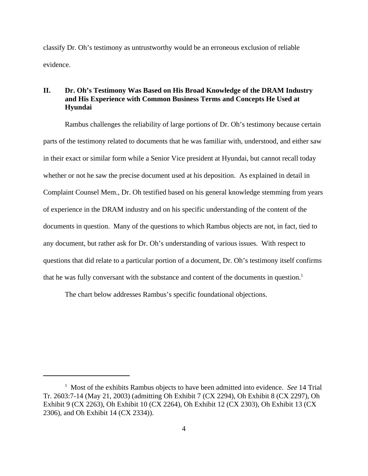classify Dr. Oh's testimony as untrustworthy would be an erroneous exclusion of reliable evidence.

## **II. Dr. Oh's Testimony Was Based on His Broad Knowledge of the DRAM Industry and His Experience with Common Business Terms and Concepts He Used at Hyundai**

Rambus challenges the reliability of large portions of Dr. Oh's testimony because certain parts of the testimony related to documents that he was familiar with, understood, and either saw in their exact or similar form while a Senior Vice president at Hyundai, but cannot recall today whether or not he saw the precise document used at his deposition. As explained in detail in Complaint Counsel Mem., Dr. Oh testified based on his general knowledge stemming from years of experience in the DRAM industry and on his specific understanding of the content of the documents in question. Many of the questions to which Rambus objects are not, in fact, tied to any document, but rather ask for Dr. Oh's understanding of various issues. With respect to questions that did relate to a particular portion of a document, Dr. Oh's testimony itself confirms that he was fully conversant with the substance and content of the documents in question.<sup>1</sup>

The chart below addresses Rambus's specific foundational objections.

<sup>1</sup> Most of the exhibits Rambus objects to have been admitted into evidence. *See* 14 Trial Tr. 2603:7-14 (May 21, 2003) (admitting Oh Exhibit 7 (CX 2294), Oh Exhibit 8 (CX 2297), Oh Exhibit 9 (CX 2263), Oh Exhibit 10 (CX 2264), Oh Exhibit 12 (CX 2303), Oh Exhibit 13 (CX 2306), and Oh Exhibit 14 (CX 2334)).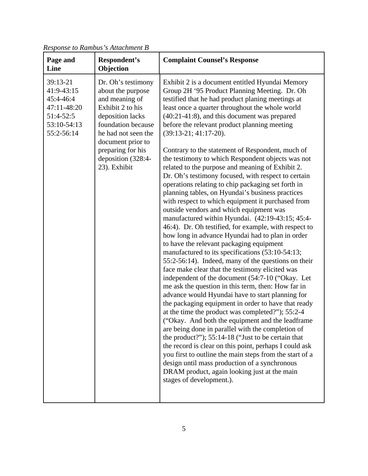| Page and<br>Line                                                                             | Respondent's<br>Objection                                                                                                                                                                                                      | <b>Complaint Counsel's Response</b>                                                                                                                                                                                                                                                                                                                                                                                                                                                                                                                                                                                                                                                                                                                                                                                                                                                                                                                                                                                                                                                                                                                                                                                                                                                                                                                                                                                                                                                                                                                                                                                                                                                                                                                                                                                                    |
|----------------------------------------------------------------------------------------------|--------------------------------------------------------------------------------------------------------------------------------------------------------------------------------------------------------------------------------|----------------------------------------------------------------------------------------------------------------------------------------------------------------------------------------------------------------------------------------------------------------------------------------------------------------------------------------------------------------------------------------------------------------------------------------------------------------------------------------------------------------------------------------------------------------------------------------------------------------------------------------------------------------------------------------------------------------------------------------------------------------------------------------------------------------------------------------------------------------------------------------------------------------------------------------------------------------------------------------------------------------------------------------------------------------------------------------------------------------------------------------------------------------------------------------------------------------------------------------------------------------------------------------------------------------------------------------------------------------------------------------------------------------------------------------------------------------------------------------------------------------------------------------------------------------------------------------------------------------------------------------------------------------------------------------------------------------------------------------------------------------------------------------------------------------------------------------|
| 39:13-21<br>41:9-43:15<br>45:4-46:4<br>47:11-48:20<br>51:4-52:5<br>53:10-54:13<br>55:2-56:14 | Dr. Oh's testimony<br>about the purpose<br>and meaning of<br>Exhibit 2 to his<br>deposition lacks<br>foundation because<br>he had not seen the<br>document prior to<br>preparing for his<br>deposition (328:4-<br>23). Exhibit | Exhibit 2 is a document entitled Hyundai Memory<br>Group 2H '95 Product Planning Meeting. Dr. Oh<br>testified that he had product planing meetings at<br>least once a quarter throughout the whole world<br>(40:21-41:8), and this document was prepared<br>before the relevant product planning meeting<br>$(39:13-21; 41:17-20).$<br>Contrary to the statement of Respondent, much of<br>the testimony to which Respondent objects was not<br>related to the purpose and meaning of Exhibit 2.<br>Dr. Oh's testimony focused, with respect to certain<br>operations relating to chip packaging set forth in<br>planning tables, on Hyundai's business practices<br>with respect to which equipment it purchased from<br>outside vendors and which equipment was<br>manufactured within Hyundai. (42:19-43:15; 45:4-<br>46:4). Dr. Oh testified, for example, with respect to<br>how long in advance Hyundai had to plan in order<br>to have the relevant packaging equipment<br>manufactured to its specifications (53:10-54:13;<br>55:2-56:14). Indeed, many of the questions on their<br>face make clear that the testimony elicited was<br>independent of the document (54:7-10 ("Okay. Let<br>me ask the question in this term, then: How far in<br>advance would Hyundai have to start planning for<br>the packaging equipment in order to have that ready<br>at the time the product was completed?"); 55:2-4<br>("Okay. And both the equipment and the leadframe<br>are being done in parallel with the completion of<br>the product?"); 55:14-18 ("Just to be certain that<br>the record is clear on this point, perhaps I could ask<br>you first to outline the main steps from the start of a<br>design until mass production of a synchronous<br>DRAM product, again looking just at the main<br>stages of development.). |

*Response to Rambus's Attachment B*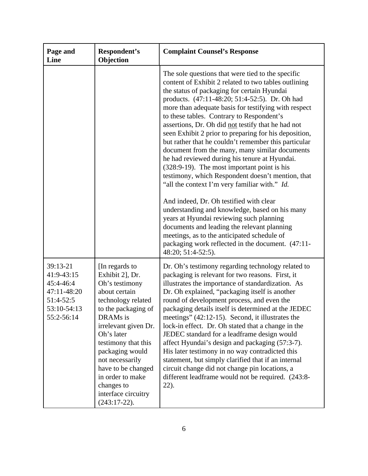| Page and<br>Line                                                                             | Respondent's<br>Objection                                                                                                                                                                                                                                                                                                          | <b>Complaint Counsel's Response</b>                                                                                                                                                                                                                                                                                                                                                                                                                                                                                                                                                                                                                                                                                                                                                                                                                                                                                                                                                                                                                              |
|----------------------------------------------------------------------------------------------|------------------------------------------------------------------------------------------------------------------------------------------------------------------------------------------------------------------------------------------------------------------------------------------------------------------------------------|------------------------------------------------------------------------------------------------------------------------------------------------------------------------------------------------------------------------------------------------------------------------------------------------------------------------------------------------------------------------------------------------------------------------------------------------------------------------------------------------------------------------------------------------------------------------------------------------------------------------------------------------------------------------------------------------------------------------------------------------------------------------------------------------------------------------------------------------------------------------------------------------------------------------------------------------------------------------------------------------------------------------------------------------------------------|
|                                                                                              |                                                                                                                                                                                                                                                                                                                                    | The sole questions that were tied to the specific<br>content of Exhibit 2 related to two tables outlining<br>the status of packaging for certain Hyundai<br>products. (47:11-48:20; 51:4-52:5). Dr. Oh had<br>more than adequate basis for testifying with respect<br>to these tables. Contrary to Respondent's<br>assertions, Dr. Oh did not testify that he had not<br>seen Exhibit 2 prior to preparing for his deposition,<br>but rather that he couldn't remember this particular<br>document from the many, many similar documents<br>he had reviewed during his tenure at Hyundai.<br>(328:9-19). The most important point is his<br>testimony, which Respondent doesn't mention, that<br>"all the context I'm very familiar with." Id.<br>And indeed, Dr. Oh testified with clear<br>understanding and knowledge, based on his many<br>years at Hyundai reviewing such planning<br>documents and leading the relevant planning<br>meetings, as to the anticipated schedule of<br>packaging work reflected in the document. (47:11-<br>48:20; 51:4-52:5). |
| 39:13-21<br>41:9-43:15<br>45:4-46:4<br>47:11-48:20<br>51:4-52:5<br>53:10-54:13<br>55:2-56:14 | [In regards to<br>Exhibit 2], Dr.<br>Oh's testimony<br>about certain<br>technology related<br>to the packaging of<br>DRAMs is<br>irrelevant given Dr.<br>Oh's later<br>testimony that this<br>packaging would<br>not necessarily<br>have to be changed<br>in order to make<br>changes to<br>interface circuitry<br>$(243:17-22)$ . | Dr. Oh's testimony regarding technology related to<br>packaging is relevant for two reasons. First, it<br>illustrates the importance of standardization. As<br>Dr. Oh explained, "packaging itself is another<br>round of development process, and even the<br>packaging details itself is determined at the JEDEC<br>meetings" (42:12-15). Second, it illustrates the<br>lock-in effect. Dr. Oh stated that a change in the<br>JEDEC standard for a leadframe design would<br>affect Hyundai's design and packaging (57:3-7).<br>His later testimony in no way contradicted this<br>statement, but simply clarified that if an internal<br>circuit change did not change pin locations, a<br>different leadframe would not be required. (243:8-<br>$22$ ).                                                                                                                                                                                                                                                                                                      |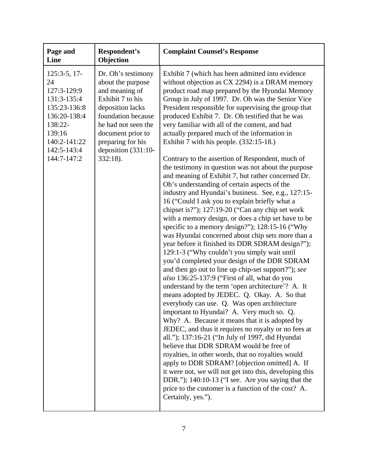| Page and<br>Line                                                                                                                                      | Respondent's<br>Objection                                                                                                                                                                                                        | <b>Complaint Counsel's Response</b>                                                                                                                                                                                                                                                                                                                                                                                                                                                                                                                                                                                                                                                                                                                                                                                                                                                                                                                                                                                                                                                                                                                                                                                                                                                                                                                                                                                                                                                                                                                                                                                                                                                                                                                                                                                                                                                                                                                                                          |
|-------------------------------------------------------------------------------------------------------------------------------------------------------|----------------------------------------------------------------------------------------------------------------------------------------------------------------------------------------------------------------------------------|----------------------------------------------------------------------------------------------------------------------------------------------------------------------------------------------------------------------------------------------------------------------------------------------------------------------------------------------------------------------------------------------------------------------------------------------------------------------------------------------------------------------------------------------------------------------------------------------------------------------------------------------------------------------------------------------------------------------------------------------------------------------------------------------------------------------------------------------------------------------------------------------------------------------------------------------------------------------------------------------------------------------------------------------------------------------------------------------------------------------------------------------------------------------------------------------------------------------------------------------------------------------------------------------------------------------------------------------------------------------------------------------------------------------------------------------------------------------------------------------------------------------------------------------------------------------------------------------------------------------------------------------------------------------------------------------------------------------------------------------------------------------------------------------------------------------------------------------------------------------------------------------------------------------------------------------------------------------------------------------|
| $125:3-5, 17-$<br>24<br>127:3-129:9<br>131:3-135:4<br>135:23-136:8<br>136:20-138:4<br>138:22-<br>139:16<br>140:2-141:22<br>142:5-143:4<br>144:7-147:2 | Dr. Oh's testimony<br>about the purpose<br>and meaning of<br>Exhibit 7 to his<br>deposition lacks<br>foundation because<br>he had not seen the<br>document prior to<br>preparing for his<br>deposition $(331:10-$<br>$332:18$ ). | Exhibit 7 (which has been admitted into evidence<br>without objection as CX 2294) is a DRAM memory<br>product road map prepared by the Hyundai Memory<br>Group in July of 1997. Dr. Oh was the Senior Vice<br>President responsible for supervising the group that<br>produced Exhibit 7. Dr. Oh testified that he was<br>very familiar with all of the content, and had<br>actually prepared much of the information in<br>Exhibit 7 with his people. (332:15-18.)<br>Contrary to the assertion of Respondent, much of<br>the testimony in question was not about the purpose<br>and meaning of Exhibit 7, but rather concerned Dr.<br>Oh's understanding of certain aspects of the<br>industry and Hyundai's business. See, e.g., 127:15-<br>16 ("Could I ask you to explain briefly what a<br>chipset is?"); 127:19-20 ("Can any chip set work<br>with a memory design, or does a chip set have to be<br>specific to a memory design?"); 128:15-16 ("Why<br>was Hyundai concerned about chip sets more than a<br>year before it finished its DDR SDRAM design?");<br>129:1-3 ("Why couldn't you simply wait until<br>you'd completed your design of the DDR SDRAM<br>and then go out to line up chip-set support?"); see<br>also 136:25-137:9 ("First of all, what do you<br>understand by the term 'open architecture'? A. It<br>means adopted by JEDEC. Q. Okay. A. So that<br>everybody can use. Q. Was open architecture<br>important to Hyundai? A. Very much so. Q.<br>Why? A. Because it means that it is adopted by<br>JEDEC, and thus it requires no royalty or no fees at<br>all."); 137:16-21 ("In July of 1997, did Hyundai<br>believe that DDR SDRAM would be free of<br>royalties, in other words, that no royalties would<br>apply to DDR SDRAM? [objection omitted] A. If<br>it were not, we will not get into this, developing this<br>DDR."); $140:10-13$ ("I see. Are you saying that the<br>price to the customer is a function of the cost? A.<br>Certainly, yes."). |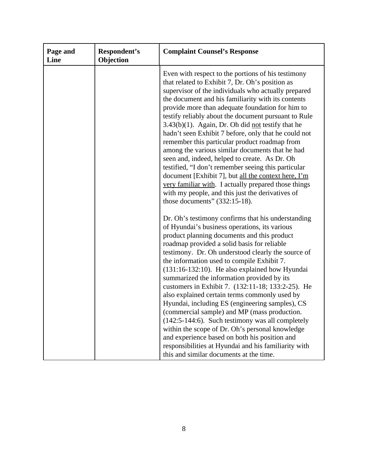| Page and<br>Line | Respondent's<br>Objection | <b>Complaint Counsel's Response</b>                                                                                                                                                                                                                                                                                                                                                                                                                                                                                                                                                                                                                                                                                                                                                                                                                                       |
|------------------|---------------------------|---------------------------------------------------------------------------------------------------------------------------------------------------------------------------------------------------------------------------------------------------------------------------------------------------------------------------------------------------------------------------------------------------------------------------------------------------------------------------------------------------------------------------------------------------------------------------------------------------------------------------------------------------------------------------------------------------------------------------------------------------------------------------------------------------------------------------------------------------------------------------|
|                  |                           | Even with respect to the portions of his testimony<br>that related to Exhibit 7, Dr. Oh's position as<br>supervisor of the individuals who actually prepared<br>the document and his familiarity with its contents<br>provide more than adequate foundation for him to<br>testify reliably about the document pursuant to Rule<br>$3.43(b)(1)$ . Again, Dr. Oh did not testify that he<br>hadn't seen Exhibit 7 before, only that he could not<br>remember this particular product roadmap from<br>among the various similar documents that he had<br>seen and, indeed, helped to create. As Dr. Oh<br>testified, "I don't remember seeing this particular<br>document [Exhibit 7], but all the context here, I'm<br>very familiar with. I actually prepared those things<br>with my people, and this just the derivatives of<br>those documents" $(332:15-18)$ .         |
|                  |                           | Dr. Oh's testimony confirms that his understanding<br>of Hyundai's business operations, its various<br>product planning documents and this product<br>roadmap provided a solid basis for reliable<br>testimony. Dr. Oh understood clearly the source of<br>the information used to compile Exhibit 7.<br>(131:16-132:10). He also explained how Hyundai<br>summarized the information provided by its<br>customers in Exhibit 7. (132:11-18; 133:2-25). He<br>also explained certain terms commonly used by<br>Hyundai, including ES (engineering samples), CS<br>(commercial sample) and MP (mass production.<br>(142:5-144:6). Such testimony was all completely<br>within the scope of Dr. Oh's personal knowledge<br>and experience based on both his position and<br>responsibilities at Hyundai and his familiarity with<br>this and similar documents at the time. |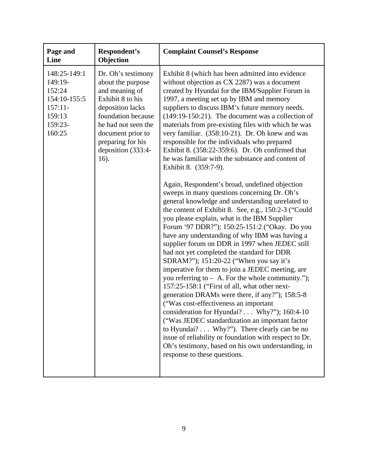| Page and<br>Line                                                                              | Respondent's<br>Objection                                                                                                                                                                                              | <b>Complaint Counsel's Response</b>                                                                                                                                                                                                                                                                                                                                                                                                                                                                                                                                                                                                                                                                                                                                                                                                                                                                                                                                                                                                                                                                                                                                                                                                                                                                                                                                                                                                                                                                                                                                                                                                                                          |
|-----------------------------------------------------------------------------------------------|------------------------------------------------------------------------------------------------------------------------------------------------------------------------------------------------------------------------|------------------------------------------------------------------------------------------------------------------------------------------------------------------------------------------------------------------------------------------------------------------------------------------------------------------------------------------------------------------------------------------------------------------------------------------------------------------------------------------------------------------------------------------------------------------------------------------------------------------------------------------------------------------------------------------------------------------------------------------------------------------------------------------------------------------------------------------------------------------------------------------------------------------------------------------------------------------------------------------------------------------------------------------------------------------------------------------------------------------------------------------------------------------------------------------------------------------------------------------------------------------------------------------------------------------------------------------------------------------------------------------------------------------------------------------------------------------------------------------------------------------------------------------------------------------------------------------------------------------------------------------------------------------------------|
| 148:25-149:1<br>149:19-<br>152:24<br>154:10-155:5<br>$157:11-$<br>159:13<br>159:23-<br>160:25 | Dr. Oh's testimony<br>about the purpose<br>and meaning of<br>Exhibit 8 to his<br>deposition lacks<br>foundation because<br>he had not seen the<br>document prior to<br>preparing for his<br>deposition (333:4-<br>16). | Exhibit 8 (which has been admitted into evidence<br>without objection as CX 2287) was a document<br>created by Hyundai for the IBM/Supplier Forum in<br>1997, a meeting set up by IBM and memory<br>suppliers to discuss IBM's future memory needs.<br>$(149:19-150:21)$ . The document was a collection of<br>materials from pre-existing files with which he was<br>very familiar. (358:10-21). Dr. Oh knew and was<br>responsible for the individuals who prepared<br>Exhibit 8. (358:22-359:6). Dr. Oh confirmed that<br>he was familiar with the substance and content of<br>Exhibit 8. (359:7-9).<br>Again, Respondent's broad, undefined objection<br>sweeps in many questions concerning Dr. Oh's<br>general knowledge and understanding unrelated to<br>the content of Exhibit 8. See, e.g., 150:2-3 ("Could<br>you please explain, what is the IBM Supplier<br>Forum '97 DDR?"); 150:25-151:2 ("Okay. Do you<br>have any understanding of why IBM was having a<br>supplier forum on DDR in 1997 when JEDEC still<br>had not yet completed the standard for DDR<br>SDRAM?"); 151:20-22 ("When you say it's<br>imperative for them to join a JEDEC meeting, are<br>you referring to $-$ A. For the whole community.");<br>157:25-158:1 ("First of all, what other next-<br>generation DRAMs were there, if any?"); 158:5-8<br>("Was cost-effectiveness an important<br>consideration for Hyundai? Why?"); 160:4-10<br>("Was JEDEC standardization an important factor<br>to Hyundai? Why?"). There clearly can be no<br>issue of reliability or foundation with respect to Dr.<br>Oh's testimony, based on his own understanding, in<br>response to these questions. |
|                                                                                               |                                                                                                                                                                                                                        |                                                                                                                                                                                                                                                                                                                                                                                                                                                                                                                                                                                                                                                                                                                                                                                                                                                                                                                                                                                                                                                                                                                                                                                                                                                                                                                                                                                                                                                                                                                                                                                                                                                                              |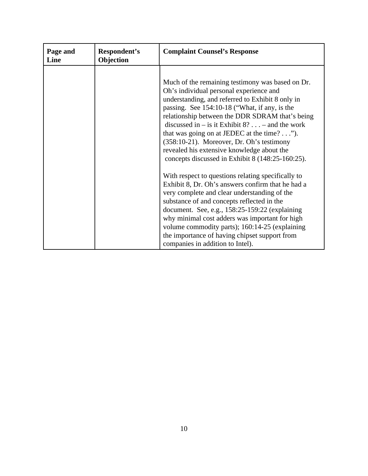| Page and<br>Line | Respondent's<br>Objection | <b>Complaint Counsel's Response</b>                                                                                                                                                                                                                                                                                                                                                                                                                                                                                                                                                                                      |
|------------------|---------------------------|--------------------------------------------------------------------------------------------------------------------------------------------------------------------------------------------------------------------------------------------------------------------------------------------------------------------------------------------------------------------------------------------------------------------------------------------------------------------------------------------------------------------------------------------------------------------------------------------------------------------------|
|                  |                           | Much of the remaining testimony was based on Dr.<br>Oh's individual personal experience and<br>understanding, and referred to Exhibit 8 only in<br>passing. See 154:10-18 ("What, if any, is the<br>relationship between the DDR SDRAM that's being<br>discussed in $-$ is it Exhibit 8? – and the work<br>that was going on at JEDEC at the time? $\dots$ ").<br>(358:10-21). Moreover, Dr. Oh's testimony<br>revealed his extensive knowledge about the<br>concepts discussed in Exhibit 8 (148:25-160:25).<br>With respect to questions relating specifically to<br>Exhibit 8, Dr. Oh's answers confirm that he had a |
|                  |                           | very complete and clear understanding of the<br>substance of and concepts reflected in the<br>document. See, e.g., $158:25-159:22$ (explaining<br>why minimal cost adders was important for high<br>volume commodity parts); 160:14-25 (explaining<br>the importance of having chipset support from<br>companies in addition to Intel).                                                                                                                                                                                                                                                                                  |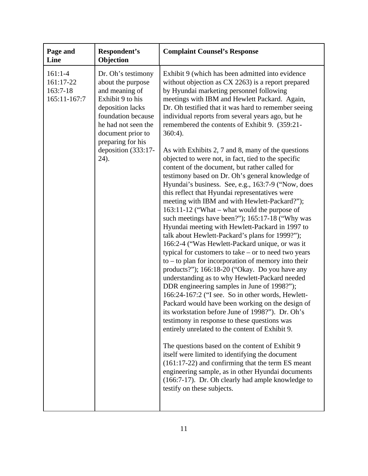| Page and<br>Line                                   | Respondent's<br>Objection                                                                                                                                                                                               | <b>Complaint Counsel's Response</b>                                                                                                                                                                                                                                                                                                                                                                                                                                                                                                                                                                                                                                                                                                                                                                                                                                                                                                                                                                                                                                                                                                                                                                                                                                                                                                                                                                                                                                                                                                                                                                                                                                                                                                                                                                                                                                |
|----------------------------------------------------|-------------------------------------------------------------------------------------------------------------------------------------------------------------------------------------------------------------------------|--------------------------------------------------------------------------------------------------------------------------------------------------------------------------------------------------------------------------------------------------------------------------------------------------------------------------------------------------------------------------------------------------------------------------------------------------------------------------------------------------------------------------------------------------------------------------------------------------------------------------------------------------------------------------------------------------------------------------------------------------------------------------------------------------------------------------------------------------------------------------------------------------------------------------------------------------------------------------------------------------------------------------------------------------------------------------------------------------------------------------------------------------------------------------------------------------------------------------------------------------------------------------------------------------------------------------------------------------------------------------------------------------------------------------------------------------------------------------------------------------------------------------------------------------------------------------------------------------------------------------------------------------------------------------------------------------------------------------------------------------------------------------------------------------------------------------------------------------------------------|
| $161:1-4$<br>161:17-22<br>163:7-18<br>165:11-167:7 | Dr. Oh's testimony<br>about the purpose<br>and meaning of<br>Exhibit 9 to his<br>deposition lacks<br>foundation because<br>he had not seen the<br>document prior to<br>preparing for his<br>deposition (333:17-<br>24). | Exhibit 9 (which has been admitted into evidence<br>without objection as CX 2263) is a report prepared<br>by Hyundai marketing personnel following<br>meetings with IBM and Hewlett Packard. Again,<br>Dr. Oh testified that it was hard to remember seeing<br>individual reports from several years ago, but he<br>remembered the contents of Exhibit 9. (359:21-<br>$360:4$ ).<br>As with Exhibits 2, 7 and 8, many of the questions<br>objected to were not, in fact, tied to the specific<br>content of the document, but rather called for<br>testimony based on Dr. Oh's general knowledge of<br>Hyundai's business. See, e.g., 163:7-9 ("Now, does<br>this reflect that Hyundai representatives were<br>meeting with IBM and with Hewlett-Packard?");<br>163:11-12 ("What – what would the purpose of<br>such meetings have been?"); 165:17-18 ("Why was<br>Hyundai meeting with Hewlett-Packard in 1997 to<br>talk about Hewlett-Packard's plans for 1999?");<br>166:2-4 ("Was Hewlett-Packard unique, or was it<br>typical for customers to take $-$ or to need two years<br>$to -to$ plan for incorporation of memory into their<br>products?"); 166:18-20 ("Okay. Do you have any<br>understanding as to why Hewlett-Packard needed<br>DDR engineering samples in June of 1998?");<br>166:24-167:2 ("I see. So in other words, Hewlett-<br>Packard would have been working on the design of<br>its workstation before June of 1998?"). Dr. Oh's<br>testimony in response to these questions was<br>entirely unrelated to the content of Exhibit 9.<br>The questions based on the content of Exhibit 9<br>itself were limited to identifying the document<br>$(161:17-22)$ and confirming that the term ES meant<br>engineering sample, as in other Hyundai documents<br>(166:7-17). Dr. Oh clearly had ample knowledge to<br>testify on these subjects. |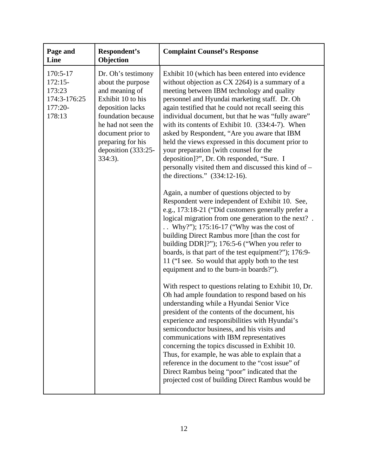| Page and<br>Line                                                     | Respondent's<br>Objection                                                                                                                                                                                                      | <b>Complaint Counsel's Response</b>                                                                                                                                                                                                                                                                                                                                                                                                                                                                                                                                                                                                                                                                                                                                                                                                                                                                                                                                                                                                                                                                                                                                                  |
|----------------------------------------------------------------------|--------------------------------------------------------------------------------------------------------------------------------------------------------------------------------------------------------------------------------|--------------------------------------------------------------------------------------------------------------------------------------------------------------------------------------------------------------------------------------------------------------------------------------------------------------------------------------------------------------------------------------------------------------------------------------------------------------------------------------------------------------------------------------------------------------------------------------------------------------------------------------------------------------------------------------------------------------------------------------------------------------------------------------------------------------------------------------------------------------------------------------------------------------------------------------------------------------------------------------------------------------------------------------------------------------------------------------------------------------------------------------------------------------------------------------|
| 170:5-17<br>$172:15-$<br>173:23<br>174:3-176:25<br>177:20-<br>178:13 | Dr. Oh's testimony<br>about the purpose<br>and meaning of<br>Exhibit 10 to his<br>deposition lacks<br>foundation because<br>he had not seen the<br>document prior to<br>preparing for his<br>deposition (333:25-<br>$334:3$ ). | Exhibit 10 (which has been entered into evidence<br>without objection as CX 2264) is a summary of a<br>meeting between IBM technology and quality<br>personnel and Hyundai marketing staff. Dr. Oh<br>again testified that he could not recall seeing this<br>individual document, but that he was "fully aware"<br>with its contents of Exhibit 10. (334:4-7). When<br>asked by Respondent, "Are you aware that IBM<br>held the views expressed in this document prior to<br>your preparation [with counsel for the<br>deposition]?", Dr. Oh responded, "Sure. I<br>personally visited them and discussed this kind of -<br>the directions." $(334:12-16)$ .<br>Again, a number of questions objected to by<br>Respondent were independent of Exhibit 10. See,<br>e.g., 173:18-21 ("Did customers generally prefer a<br>logical migration from one generation to the next?.<br>Why?"); $175:16-17$ ("Why was the cost of<br>building Direct Rambus more [than the cost for<br>building DDR]?"); 176:5-6 ("When you refer to<br>boards, is that part of the test equipment?"); 176:9-<br>11 ("I see. So would that apply both to the test<br>equipment and to the burn-in boards?"). |
|                                                                      |                                                                                                                                                                                                                                | With respect to questions relating to Exhibit 10, Dr.<br>Oh had ample foundation to respond based on his<br>understanding while a Hyundai Senior Vice<br>president of the contents of the document, his<br>experience and responsibilities with Hyundai's<br>semiconductor business, and his visits and<br>communications with IBM representatives<br>concerning the topics discussed in Exhibit 10.<br>Thus, for example, he was able to explain that a<br>reference in the document to the "cost issue" of<br>Direct Rambus being "poor" indicated that the<br>projected cost of building Direct Rambus would be                                                                                                                                                                                                                                                                                                                                                                                                                                                                                                                                                                   |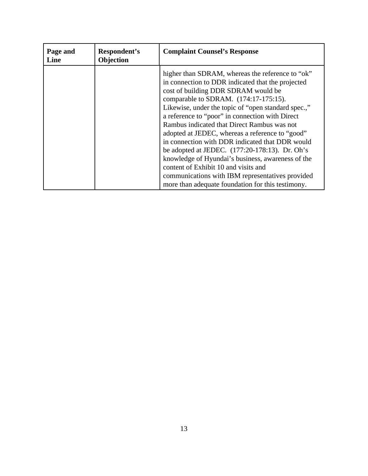| Page and<br>Line | Respondent's<br>Objection | <b>Complaint Counsel's Response</b>                                                                                                                                                                                                                                                                                                                                                                                                                                                                                                                                                                                                                                                                             |
|------------------|---------------------------|-----------------------------------------------------------------------------------------------------------------------------------------------------------------------------------------------------------------------------------------------------------------------------------------------------------------------------------------------------------------------------------------------------------------------------------------------------------------------------------------------------------------------------------------------------------------------------------------------------------------------------------------------------------------------------------------------------------------|
|                  |                           | higher than SDRAM, whereas the reference to "ok"<br>in connection to DDR indicated that the projected<br>cost of building DDR SDRAM would be<br>comparable to SDRAM. (174:17-175:15).<br>Likewise, under the topic of "open standard spec.,"<br>a reference to "poor" in connection with Direct<br>Rambus indicated that Direct Rambus was not<br>adopted at JEDEC, whereas a reference to "good"<br>in connection with DDR indicated that DDR would<br>be adopted at JEDEC. $(177:20-178:13)$ . Dr. Oh's<br>knowledge of Hyundai's business, awareness of the<br>content of Exhibit 10 and visits and<br>communications with IBM representatives provided<br>more than adequate foundation for this testimony. |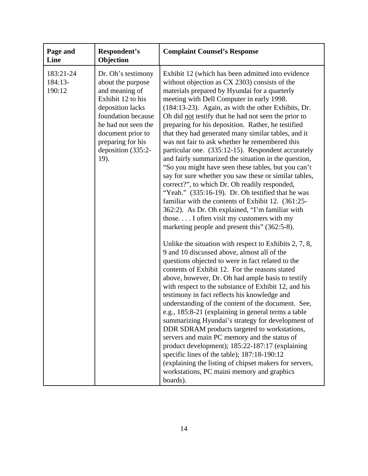| Page and<br>Line               | Respondent's<br>Objection                                                                                                                                                                                               | <b>Complaint Counsel's Response</b>                                                                                                                                                                                                                                                                                                                                                                                                                                                                                                                                                                                                                                                                                                                                                                                                                                                                                                                                                                                      |
|--------------------------------|-------------------------------------------------------------------------------------------------------------------------------------------------------------------------------------------------------------------------|--------------------------------------------------------------------------------------------------------------------------------------------------------------------------------------------------------------------------------------------------------------------------------------------------------------------------------------------------------------------------------------------------------------------------------------------------------------------------------------------------------------------------------------------------------------------------------------------------------------------------------------------------------------------------------------------------------------------------------------------------------------------------------------------------------------------------------------------------------------------------------------------------------------------------------------------------------------------------------------------------------------------------|
| 183:21-24<br>184:13-<br>190:12 | Dr. Oh's testimony<br>about the purpose<br>and meaning of<br>Exhibit 12 to his<br>deposition lacks<br>foundation because<br>he had not seen the<br>document prior to<br>preparing for his<br>deposition (335:2-<br>19). | Exhibit 12 (which has been admitted into evidence<br>without objection as CX 2303) consists of the<br>materials prepared by Hyundai for a quarterly<br>meeting with Dell Computer in early 1998.<br>(184:13-23). Again, as with the other Exhibits, Dr.<br>Oh did not testify that he had not seen the prior to<br>preparing for his deposition. Rather, he testified<br>that they had generated many similar tables, and it<br>was not fair to ask whether he remembered this<br>particular one. (335:12-15). Respondent accurately<br>and fairly summarized the situation in the question,<br>"So you might have seen these tables, but you can't<br>say for sure whether you saw these or similar tables,<br>correct?", to which Dr. Oh readily responded,<br>"Yeah." (335:16-19). Dr. Oh testified that he was<br>familiar with the contents of Exhibit 12. (361:25-<br>362:2). As Dr. Oh explained, "I'm familiar with<br>those I often visit my customers with my<br>marketing people and present this" (362:5-8). |
|                                |                                                                                                                                                                                                                         | Unlike the situation with respect to Exhibits $2, 7, 8$ ,<br>9 and 10 discussed above, almost all of the<br>questions objected to were in fact related to the<br>contents of Exhibit 12. For the reasons stated<br>above, however, Dr. Oh had ample basis to testify<br>with respect to the substance of Exhibit 12, and his<br>testimony in fact reflects his knowledge and<br>understanding of the content of the document. See,<br>e.g., 185:8-21 (explaining in general terms a table<br>summarizing Hyundai's strategy for development of<br>DDR SDRAM products targeted to workstations,<br>servers and main PC memory and the status of<br>product development); 185:22-187:17 (explaining<br>specific lines of the table); 187:18-190:12<br>(explaining the listing of chipset makers for servers,<br>workstations, PC maini memory and graphics<br>boards).                                                                                                                                                     |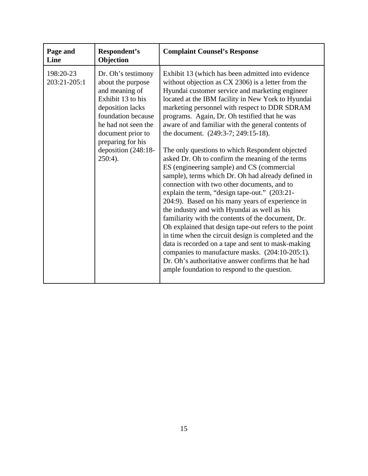| Page and<br>Line          | Respondent's<br>Objection                                                                                                                                                                                                      | <b>Complaint Counsel's Response</b>                                                                                                                                                                                                                                                                                                                                                                                                                                                                                                                                                                                                                                                                                                                                                                                                                                                                                                                                                                                                                                                                                                                                                                                  |
|---------------------------|--------------------------------------------------------------------------------------------------------------------------------------------------------------------------------------------------------------------------------|----------------------------------------------------------------------------------------------------------------------------------------------------------------------------------------------------------------------------------------------------------------------------------------------------------------------------------------------------------------------------------------------------------------------------------------------------------------------------------------------------------------------------------------------------------------------------------------------------------------------------------------------------------------------------------------------------------------------------------------------------------------------------------------------------------------------------------------------------------------------------------------------------------------------------------------------------------------------------------------------------------------------------------------------------------------------------------------------------------------------------------------------------------------------------------------------------------------------|
| 198:20-23<br>203:21-205:1 | Dr. Oh's testimony<br>about the purpose<br>and meaning of<br>Exhibit 13 to his<br>deposition lacks<br>foundation because<br>he had not seen the<br>document prior to<br>preparing for his<br>deposition (248:18-<br>$250:4$ ). | Exhibit 13 (which has been admitted into evidence<br>without objection as CX 2306) is a letter from the<br>Hyundai customer service and marketing engineer<br>located at the IBM facility in New York to Hyundai<br>marketing personnel with respect to DDR SDRAM<br>programs. Again, Dr. Oh testified that he was<br>aware of and familiar with the general contents of<br>the document. (249:3-7; 249:15-18).<br>The only questions to which Respondent objected<br>asked Dr. Oh to confirm the meaning of the terms<br>ES (engineering sample) and CS (commercial<br>sample), terms which Dr. Oh had already defined in<br>connection with two other documents, and to<br>explain the term, "design tape-out." (203:21-<br>204:9). Based on his many years of experience in<br>the industry and with Hyundai as well as his<br>familiarity with the contents of the document, Dr.<br>Oh explained that design tape-out refers to the point<br>in time when the circuit design is completed and the<br>data is recorded on a tape and sent to mask-making<br>companies to manufacture masks. (204:10-205:1).<br>Dr. Oh's authoritative answer confirms that he had<br>ample foundation to respond to the question. |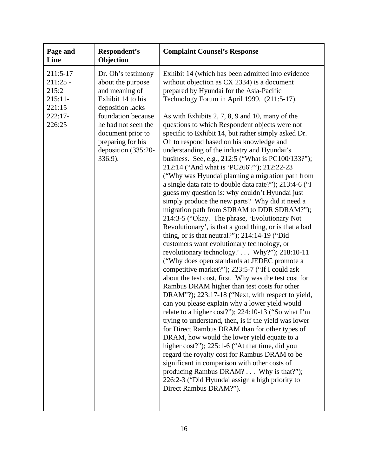| Page and<br>Line                                                            | Respondent's<br>Objection                                                                                                                                                                                                   | <b>Complaint Counsel's Response</b>                                                                                                                                                                                                                                                                                                                                                                                                                                                                                                                                                                                                                                                                                                                                                                                                                                                                                                                                                                                                                                                                                                                                                                                                                                                                                                                                                                                                                                                                                                                                                                                                                                                                                                                                                                                                                                                                 |
|-----------------------------------------------------------------------------|-----------------------------------------------------------------------------------------------------------------------------------------------------------------------------------------------------------------------------|-----------------------------------------------------------------------------------------------------------------------------------------------------------------------------------------------------------------------------------------------------------------------------------------------------------------------------------------------------------------------------------------------------------------------------------------------------------------------------------------------------------------------------------------------------------------------------------------------------------------------------------------------------------------------------------------------------------------------------------------------------------------------------------------------------------------------------------------------------------------------------------------------------------------------------------------------------------------------------------------------------------------------------------------------------------------------------------------------------------------------------------------------------------------------------------------------------------------------------------------------------------------------------------------------------------------------------------------------------------------------------------------------------------------------------------------------------------------------------------------------------------------------------------------------------------------------------------------------------------------------------------------------------------------------------------------------------------------------------------------------------------------------------------------------------------------------------------------------------------------------------------------------------|
| 211:5-17<br>$211:25 -$<br>215:2<br>$215:11-$<br>221:15<br>222:17-<br>226:25 | Dr. Oh's testimony<br>about the purpose<br>and meaning of<br>Exhibit 14 to his<br>deposition lacks<br>foundation because<br>he had not seen the<br>document prior to<br>preparing for his<br>deposition (335:20-<br>336:9). | Exhibit 14 (which has been admitted into evidence<br>without objection as CX 2334) is a document<br>prepared by Hyundai for the Asia-Pacific<br>Technology Forum in April 1999. (211:5-17).<br>As with Exhibits 2, 7, 8, 9 and 10, many of the<br>questions to which Respondent objects were not<br>specific to Exhibit 14, but rather simply asked Dr.<br>Oh to respond based on his knowledge and<br>understanding of the industry and Hyundai's<br>business. See, e.g., 212:5 ("What is PC100/133?");<br>212:14 ("And what is 'PC266'?"); 212:22-23<br>("Why was Hyundai planning a migration path from<br>a single data rate to double data rate?"); 213:4-6 ("I<br>guess my question is: why couldn't Hyundai just<br>simply produce the new parts? Why did it need a<br>migration path from SDRAM to DDR SDRAM?");<br>214:3-5 ("Okay. The phrase, 'Evolutionary Not<br>Revolutionary', is that a good thing, or is that a bad<br>thing, or is that neutral?"); $214:14-19$ ("Did<br>customers want evolutionary technology, or<br>revolutionary technology? Why?"); 218:10-11<br>("Why does open standards at JEDEC promote a<br>competitive market?"); 223:5-7 ("If I could ask<br>about the test cost, first. Why was the test cost for<br>Rambus DRAM higher than test costs for other<br>DRAM"?); 223:17-18 ("Next, with respect to yield,<br>can you please explain why a lower yield would<br>relate to a higher cost?"); 224:10-13 ("So what I'm<br>trying to understand, then, is if the yield was lower<br>for Direct Rambus DRAM than for other types of<br>DRAM, how would the lower yield equate to a<br>higher cost?"); 225:1-6 ("At that time, did you<br>regard the royalty cost for Rambus DRAM to be<br>significant in comparison with other costs of<br>producing Rambus DRAM? Why is that?");<br>226:2-3 ("Did Hyundai assign a high priority to<br>Direct Rambus DRAM?"). |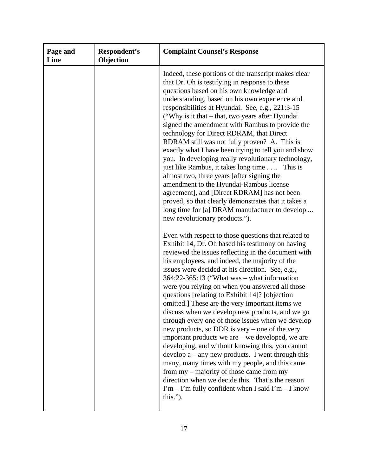| Page and<br>Line | Respondent's<br>Objection | <b>Complaint Counsel's Response</b>                                                                                                                                                                                                                                                                                                                                                                                                                                                                                                                                                                                                                                                                                                                                                                                                                                                                                                                                                                                                                                                                                                                                                                                                                                                                                                                                                                                                                                                                                                                                                                                                                                                                                                                                                                                                                                                                                                                                   |
|------------------|---------------------------|-----------------------------------------------------------------------------------------------------------------------------------------------------------------------------------------------------------------------------------------------------------------------------------------------------------------------------------------------------------------------------------------------------------------------------------------------------------------------------------------------------------------------------------------------------------------------------------------------------------------------------------------------------------------------------------------------------------------------------------------------------------------------------------------------------------------------------------------------------------------------------------------------------------------------------------------------------------------------------------------------------------------------------------------------------------------------------------------------------------------------------------------------------------------------------------------------------------------------------------------------------------------------------------------------------------------------------------------------------------------------------------------------------------------------------------------------------------------------------------------------------------------------------------------------------------------------------------------------------------------------------------------------------------------------------------------------------------------------------------------------------------------------------------------------------------------------------------------------------------------------------------------------------------------------------------------------------------------------|
|                  |                           | Indeed, these portions of the transcript makes clear<br>that Dr. Oh is testifying in response to these<br>questions based on his own knowledge and<br>understanding, based on his own experience and<br>responsibilities at Hyundai. See, e.g., 221:3-15<br>("Why is it that – that, two years after Hyundai<br>signed the amendment with Rambus to provide the<br>technology for Direct RDRAM, that Direct<br>RDRAM still was not fully proven? A. This is<br>exactly what I have been trying to tell you and show<br>you. In developing really revolutionary technology,<br>just like Rambus, it takes long time. This is<br>almost two, three years [after signing the<br>amendment to the Hyundai-Rambus license<br>agreement], and [Direct RDRAM] has not been<br>proved, so that clearly demonstrates that it takes a<br>long time for [a] DRAM manufacturer to develop<br>new revolutionary products.").<br>Even with respect to those questions that related to<br>Exhibit 14, Dr. Oh based his testimony on having<br>reviewed the issues reflecting in the document with<br>his employees, and indeed, the majority of the<br>issues were decided at his direction. See, e.g.,<br>$364:22-365:13$ ("What was – what information<br>were you relying on when you answered all those<br>questions [relating to Exhibit 14]? [objection<br>omitted.] These are the very important items we<br>discuss when we develop new products, and we go<br>through every one of those issues when we develop<br>new products, so DDR is very – one of the very<br>important products we are $-$ we developed, we are<br>developing, and without knowing this, you cannot<br>develop $a - any new products.$ I went through this<br>many, many times with my people, and this came<br>from my - majority of those came from my<br>direction when we decide this. That's the reason<br>$\Gamma$ m – $\Gamma$ m fully confident when I said $\Gamma$ m – I know<br>this."). |
|                  |                           |                                                                                                                                                                                                                                                                                                                                                                                                                                                                                                                                                                                                                                                                                                                                                                                                                                                                                                                                                                                                                                                                                                                                                                                                                                                                                                                                                                                                                                                                                                                                                                                                                                                                                                                                                                                                                                                                                                                                                                       |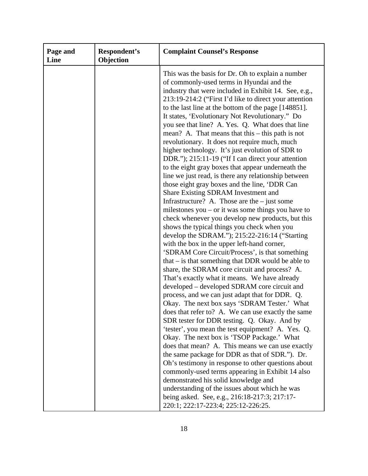| Page and<br>Line | Respondent's<br>Objection | <b>Complaint Counsel's Response</b>                                                                                                                                                                                                                                                                                                                                                                                                                                                                                                                                                                                                                                                                                                                                                                                                                                                                                                                                                                                                                                                                                                                                                                                                                                                                                                                                                                                                                                                                                                                                                                                                                                                                                                                                                                                                                                                                                                                                                                                                                           |
|------------------|---------------------------|---------------------------------------------------------------------------------------------------------------------------------------------------------------------------------------------------------------------------------------------------------------------------------------------------------------------------------------------------------------------------------------------------------------------------------------------------------------------------------------------------------------------------------------------------------------------------------------------------------------------------------------------------------------------------------------------------------------------------------------------------------------------------------------------------------------------------------------------------------------------------------------------------------------------------------------------------------------------------------------------------------------------------------------------------------------------------------------------------------------------------------------------------------------------------------------------------------------------------------------------------------------------------------------------------------------------------------------------------------------------------------------------------------------------------------------------------------------------------------------------------------------------------------------------------------------------------------------------------------------------------------------------------------------------------------------------------------------------------------------------------------------------------------------------------------------------------------------------------------------------------------------------------------------------------------------------------------------------------------------------------------------------------------------------------------------|
|                  |                           | This was the basis for Dr. Oh to explain a number<br>of commonly-used terms in Hyundai and the<br>industry that were included in Exhibit 14. See, e.g.,<br>213:19-214:2 ("First I'd like to direct your attention<br>to the last line at the bottom of the page [148851].<br>It states, 'Evolutionary Not Revolutionary.'' Do<br>you see that line? A. Yes. Q. What does that line<br>mean? A. That means that this $-$ this path is not<br>revolutionary. It does not require much, much<br>higher technology. It's just evolution of SDR to<br>DDR."); 215:11-19 ("If I can direct your attention<br>to the eight gray boxes that appear underneath the<br>line we just read, is there any relationship between<br>those eight gray boxes and the line, 'DDR Can<br>Share Existing SDRAM Investment and<br>Infrastructure? A. Those are the $-$ just some<br>milestones you $-$ or it was some things you have to<br>check whenever you develop new products, but this<br>shows the typical things you check when you<br>develop the SDRAM."); 215:22-216:14 ("Starting<br>with the box in the upper left-hand corner,<br>'SDRAM Core Circuit/Process', is that something<br>that $-$ is that something that DDR would be able to<br>share, the SDRAM core circuit and process? A.<br>That's exactly what it means. We have already<br>developed – developed SDRAM core circuit and<br>process, and we can just adapt that for DDR. Q.<br>Okay. The next box says 'SDRAM Tester.' What<br>does that refer to? A. We can use exactly the same<br>SDR tester for DDR testing. Q. Okay. And by<br>'tester', you mean the test equipment? A. Yes. Q.<br>Okay. The next box is 'TSOP Package.' What<br>does that mean? A. This means we can use exactly<br>the same package for DDR as that of SDR."). Dr.<br>Oh's testimony in response to other questions about<br>commonly-used terms appearing in Exhibit 14 also<br>demonstrated his solid knowledge and<br>understanding of the issues about which he was<br>being asked. See, e.g., 216:18-217:3; 217:17- |
|                  |                           | 220:1; 222:17-223:4; 225:12-226:25.                                                                                                                                                                                                                                                                                                                                                                                                                                                                                                                                                                                                                                                                                                                                                                                                                                                                                                                                                                                                                                                                                                                                                                                                                                                                                                                                                                                                                                                                                                                                                                                                                                                                                                                                                                                                                                                                                                                                                                                                                           |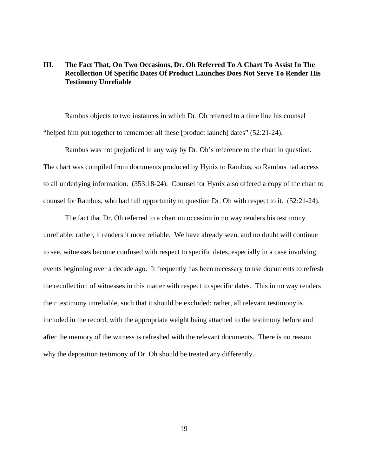## **III. The Fact That, On Two Occasions, Dr. Oh Referred To A Chart To Assist In The Recollection Of Specific Dates Of Product Launches Does Not Serve To Render His Testimony Unreliable**

Rambus objects to two instances in which Dr. Oh referred to a time line his counsel "helped him put together to remember all these [product launch] dates" (52:21-24).

Rambus was not prejudiced in any way by Dr. Oh's reference to the chart in question. The chart was compiled from documents produced by Hynix to Rambus, so Rambus had access to all underlying information. (353:18-24). Counsel for Hynix also offered a copy of the chart to counsel for Rambus, who had full opportunity to question Dr. Oh with respect to it. (52:21-24).

The fact that Dr. Oh referred to a chart on occasion in no way renders his testimony unreliable; rather, it renders it more reliable. We have already seen, and no doubt will continue to see, witnesses become confused with respect to specific dates, especially in a case involving events beginning over a decade ago. It frequently has been necessary to use documents to refresh the recollection of witnesses in this matter with respect to specific dates. This in no way renders their testimony unreliable, such that it should be excluded; rather, all relevant testimony is included in the record, with the appropriate weight being attached to the testimony before and after the memory of the witness is refreshed with the relevant documents. There is no reason why the deposition testimony of Dr. Oh should be treated any differently.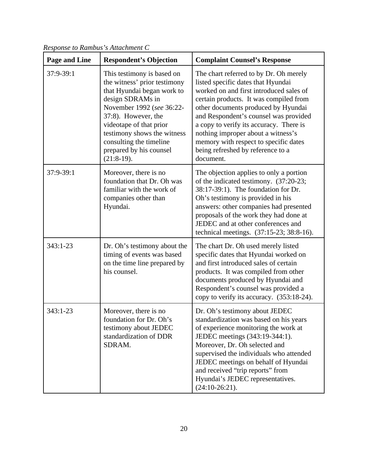| <b>Page and Line</b> | <b>Respondent's Objection</b>                                                                                                                                                                                                                                                                    | <b>Complaint Counsel's Response</b>                                                                                                                                                                                                                                                                                                                                                                                           |
|----------------------|--------------------------------------------------------------------------------------------------------------------------------------------------------------------------------------------------------------------------------------------------------------------------------------------------|-------------------------------------------------------------------------------------------------------------------------------------------------------------------------------------------------------------------------------------------------------------------------------------------------------------------------------------------------------------------------------------------------------------------------------|
| 37:9-39:1            | This testimony is based on<br>the witness' prior testimony<br>that Hyundai began work to<br>design SDRAMs in<br>November 1992 (see 36:22-<br>37:8). However, the<br>videotape of that prior<br>testimony shows the witness<br>consulting the timeline<br>prepared by his counsel<br>$(21:8-19).$ | The chart referred to by Dr. Oh merely<br>listed specific dates that Hyundai<br>worked on and first introduced sales of<br>certain products. It was compiled from<br>other documents produced by Hyundai<br>and Respondent's counsel was provided<br>a copy to verify its accuracy. There is<br>nothing improper about a witness's<br>memory with respect to specific dates<br>being refreshed by reference to a<br>document. |
| 37:9-39:1            | Moreover, there is no<br>foundation that Dr. Oh was<br>familiar with the work of<br>companies other than<br>Hyundai.                                                                                                                                                                             | The objection applies to only a portion<br>of the indicated testimony. (37:20-23;<br>38:17-39:1). The foundation for Dr.<br>Oh's testimony is provided in his<br>answers: other companies had presented<br>proposals of the work they had done at<br>JEDEC and at other conferences and<br>technical meetings. (37:15-23; 38:8-16).                                                                                           |
| 343:1-23             | Dr. Oh's testimony about the<br>timing of events was based<br>on the time line prepared by<br>his counsel.                                                                                                                                                                                       | The chart Dr. Oh used merely listed<br>specific dates that Hyundai worked on<br>and first introduced sales of certain<br>products. It was compiled from other<br>documents produced by Hyundai and<br>Respondent's counsel was provided a<br>copy to verify its accuracy. (353:18-24).                                                                                                                                        |
| $343:1 - 23$         | Moreover, there is no<br>foundation for Dr. Oh's<br>testimony about JEDEC<br>standardization of DDR<br>SDRAM.                                                                                                                                                                                    | Dr. Oh's testimony about JEDEC<br>standardization was based on his years<br>of experience monitoring the work at<br>JEDEC meetings (343:19-344:1).<br>Moreover, Dr. Oh selected and<br>supervised the individuals who attended<br>JEDEC meetings on behalf of Hyundai<br>and received "trip reports" from<br>Hyundai's JEDEC representatives.<br>$(24:10-26:21).$                                                             |

*Response to Rambus's Attachment C*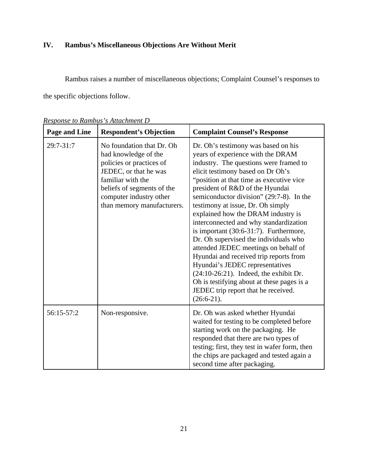# **IV. Rambus's Miscellaneous Objections Are Without Merit**

Rambus raises a number of miscellaneous objections; Complaint Counsel's responses to

the specific objections follow.

| <b>Page and Line</b> | <b>Respondent's Objection</b>                                                                                                                                                                                      | <b>Complaint Counsel's Response</b>                                                                                                                                                                                                                                                                                                                                                                                                                                                                                                                                                                                                                                                                                                                                   |
|----------------------|--------------------------------------------------------------------------------------------------------------------------------------------------------------------------------------------------------------------|-----------------------------------------------------------------------------------------------------------------------------------------------------------------------------------------------------------------------------------------------------------------------------------------------------------------------------------------------------------------------------------------------------------------------------------------------------------------------------------------------------------------------------------------------------------------------------------------------------------------------------------------------------------------------------------------------------------------------------------------------------------------------|
| 29:7-31:7            | No foundation that Dr. Oh<br>had knowledge of the<br>policies or practices of<br>JEDEC, or that he was<br>familiar with the<br>beliefs of segments of the<br>computer industry other<br>than memory manufacturers. | Dr. Oh's testimony was based on his<br>years of experience with the DRAM<br>industry. The questions were framed to<br>elicit testimony based on Dr Oh's<br>"position at that time as executive vice"<br>president of R&D of the Hyundai<br>semiconductor division" (29:7-8). In the<br>testimony at issue, Dr. Oh simply<br>explained how the DRAM industry is<br>interconnected and why standardization<br>is important $(30:6-31:7)$ . Furthermore,<br>Dr. Oh supervised the individuals who<br>attended JEDEC meetings on behalf of<br>Hyundai and received trip reports from<br>Hyundai's JEDEC representatives<br>$(24:10-26:21)$ . Indeed, the exhibit Dr.<br>Oh is testifying about at these pages is a<br>JEDEC trip report that he received.<br>$(26:6-21).$ |
| 56:15-57:2           | Non-responsive.                                                                                                                                                                                                    | Dr. Oh was asked whether Hyundai<br>waited for testing to be completed before<br>starting work on the packaging. He<br>responded that there are two types of<br>testing; first, they test in wafer form, then<br>the chips are packaged and tested again a<br>second time after packaging.                                                                                                                                                                                                                                                                                                                                                                                                                                                                            |

*Response to Rambus's Attachment D*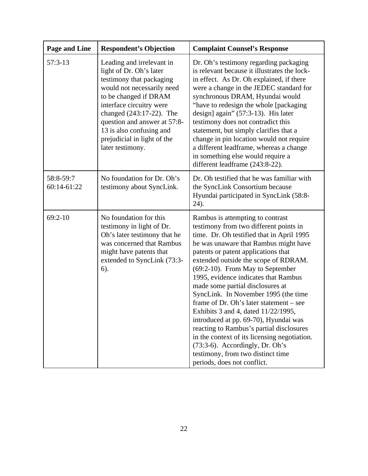| <b>Page and Line</b>     | <b>Respondent's Objection</b>                                                                                                                                                                                                                                                                                  | <b>Complaint Counsel's Response</b>                                                                                                                                                                                                                                                                                                                                                                                                                                                                                                                                                                                                                                                                                                   |
|--------------------------|----------------------------------------------------------------------------------------------------------------------------------------------------------------------------------------------------------------------------------------------------------------------------------------------------------------|---------------------------------------------------------------------------------------------------------------------------------------------------------------------------------------------------------------------------------------------------------------------------------------------------------------------------------------------------------------------------------------------------------------------------------------------------------------------------------------------------------------------------------------------------------------------------------------------------------------------------------------------------------------------------------------------------------------------------------------|
| $57:3-13$                | Leading and irrelevant in<br>light of Dr. Oh's later<br>testimony that packaging<br>would not necessarily need<br>to be changed if DRAM<br>interface circuitry were<br>changed (243:17-22). The<br>question and answer at 57:8-<br>13 is also confusing and<br>prejudicial in light of the<br>later testimony. | Dr. Oh's testimony regarding packaging<br>is relevant because it illustrates the lock-<br>in effect. As Dr. Oh explained, if there<br>were a change in the JEDEC standard for<br>synchronous DRAM, Hyundai would<br>"have to redesign the whole [packaging]<br>design] again" (57:3-13). His later<br>testimony does not contradict this<br>statement, but simply clarifies that a<br>change in pin location would not require<br>a different leadframe, whereas a change<br>in something else would require a<br>different leadframe (243:8-22).                                                                                                                                                                                     |
| 58:8-59:7<br>60:14-61:22 | No foundation for Dr. Oh's<br>testimony about SyncLink.                                                                                                                                                                                                                                                        | Dr. Oh testified that he was familiar with<br>the SyncLink Consortium because<br>Hyundai participated in SyncLink (58:8-<br>24).                                                                                                                                                                                                                                                                                                                                                                                                                                                                                                                                                                                                      |
| $69:2-10$                | No foundation for this<br>testimony in light of Dr.<br>Oh's later testimony that he<br>was concerned that Rambus<br>might have patents that<br>extended to SyncLink (73:3-<br>6).                                                                                                                              | Rambus is attempting to contrast<br>testimony from two different points in<br>time. Dr. Oh testified that in April 1995<br>he was unaware that Rambus might have<br>patents or patent applications that<br>extended outside the scope of RDRAM.<br>(69:2-10). From May to September<br>1995, evidence indicates that Rambus<br>made some partial disclosures at<br>SyncLink. In November 1995 (the time<br>frame of Dr. Oh's later statement – see<br>Exhibits 3 and 4, dated 11/22/1995,<br>introduced at pp. 69-70), Hyundai was<br>reacting to Rambus's partial disclosures<br>in the context of its licensing negotiation.<br>(73:3-6). Accordingly, Dr. Oh's<br>testimony, from two distinct time<br>periods, does not conflict. |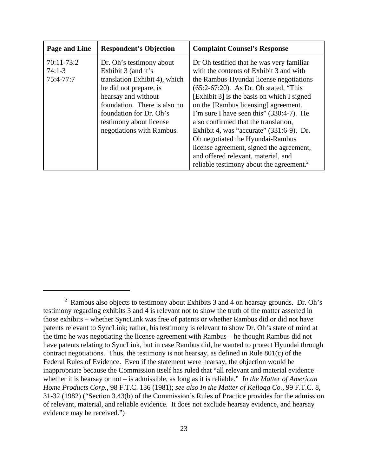| Page and Line                           | <b>Respondent's Objection</b>                                                                                                                                                                                                                        | <b>Complaint Counsel's Response</b>                                                                                                                                                                                                                                                                                                                                                                                                                                                                                                                                              |
|-----------------------------------------|------------------------------------------------------------------------------------------------------------------------------------------------------------------------------------------------------------------------------------------------------|----------------------------------------------------------------------------------------------------------------------------------------------------------------------------------------------------------------------------------------------------------------------------------------------------------------------------------------------------------------------------------------------------------------------------------------------------------------------------------------------------------------------------------------------------------------------------------|
| 70:11-73:2<br>$74:1-3$<br>$75:4 - 77:7$ | Dr. Oh's testimony about<br>Exhibit 3 (and it's<br>translation Exhibit 4), which<br>he did not prepare, is<br>hearsay and without<br>foundation. There is also no<br>foundation for Dr. Oh's<br>testimony about license<br>negotiations with Rambus. | Dr Oh testified that he was very familiar<br>with the contents of Exhibit 3 and with<br>the Rambus-Hyundai license negotiations<br>$(65:2-67:20)$ . As Dr. Oh stated, "This<br>[Exhibit 3] is the basis on which I signed<br>on the [Rambus licensing] agreement.<br>I'm sure I have seen this" (330:4-7). He<br>also confirmed that the translation,<br>Exhibit 4, was "accurate" (331:6-9). Dr.<br>Oh negotiated the Hyundai-Rambus<br>license agreement, signed the agreement,<br>and offered relevant, material, and<br>reliable testimony about the agreement. <sup>2</sup> |

<sup>&</sup>lt;sup>2</sup> Rambus also objects to testimony about Exhibits 3 and 4 on hearsay grounds. Dr. Oh's testimony regarding exhibits 3 and 4 is relevant not to show the truth of the matter asserted in those exhibits – whether SyncLink was free of patents or whether Rambus did or did not have patents relevant to SyncLink; rather, his testimony is relevant to show Dr. Oh's state of mind at the time he was negotiating the license agreement with Rambus – he thought Rambus did not have patents relating to SyncLink, but in case Rambus did, he wanted to protect Hyundai through contract negotiations. Thus, the testimony is not hearsay, as defined in Rule 801(c) of the Federal Rules of Evidence. Even if the statement were hearsay, the objection would be inappropriate because the Commission itself has ruled that "all relevant and material evidence – whether it is hearsay or not – is admissible, as long as it is reliable." *In the Matter of American Home Products Corp.*, 98 F.T.C. 136 (1981); *see also In the Matter of Kellogg Co.*, 99 F.T.C. 8, 31-32 (1982) ("Section 3.43(b) of the Commission's Rules of Practice provides for the admission of relevant, material, and reliable evidence. It does not exclude hearsay evidence, and hearsay evidence may be received.")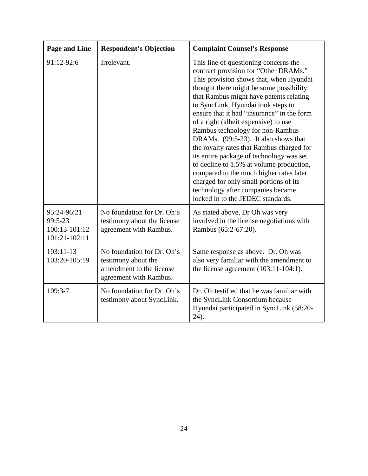| <b>Page and Line</b>                                     | <b>Respondent's Objection</b>                                                                           | <b>Complaint Counsel's Response</b>                                                                                                                                                                                                                                                                                                                                                                                                                                                                                                                                                                                                                                                                                         |
|----------------------------------------------------------|---------------------------------------------------------------------------------------------------------|-----------------------------------------------------------------------------------------------------------------------------------------------------------------------------------------------------------------------------------------------------------------------------------------------------------------------------------------------------------------------------------------------------------------------------------------------------------------------------------------------------------------------------------------------------------------------------------------------------------------------------------------------------------------------------------------------------------------------------|
| 91:12-92:6                                               | Irrelevant.                                                                                             | This line of questioning concerns the<br>contract provision for "Other DRAMs."<br>This provision shows that, when Hyundai<br>thought there might be some possibility<br>that Rambus might have patents relating<br>to SyncLink, Hyundai took steps to<br>ensure that it had "insurance" in the form<br>of a right (albeit expensive) to use<br>Rambus technology for non-Rambus<br>DRAMs. (99:5-23). It also shows that<br>the royalty rates that Rambus charged for<br>its entire package of technology was set<br>to decline to 1.5% at volume production,<br>compared to the much higher rates later<br>charged for only small portions of its<br>technology after companies became<br>locked in to the JEDEC standards. |
| 95:24-96:21<br>99:5-23<br>100:13-101:12<br>101:21-102:11 | No foundation for Dr. Oh's<br>testimony about the license<br>agreement with Rambus.                     | As stated above, Dr Oh was very<br>involved in the license negotiations with<br>Rambus (65:2-67:20).                                                                                                                                                                                                                                                                                                                                                                                                                                                                                                                                                                                                                        |
| 103:11-13<br>103:20-105:19                               | No foundation for Dr. Oh's<br>testimony about the<br>amendment to the license<br>agreement with Rambus. | Same response as above. Dr. Oh was<br>also very familiar with the amendment to<br>the license agreement $(103:11-104:1)$ .                                                                                                                                                                                                                                                                                                                                                                                                                                                                                                                                                                                                  |
| $109:3-7$                                                | No foundation for Dr. Oh's<br>testimony about SyncLink.                                                 | Dr. Oh testified that he was familiar with<br>the SyncLink Consortium because<br>Hyundai participated in SyncLink (58:20-<br>24).                                                                                                                                                                                                                                                                                                                                                                                                                                                                                                                                                                                           |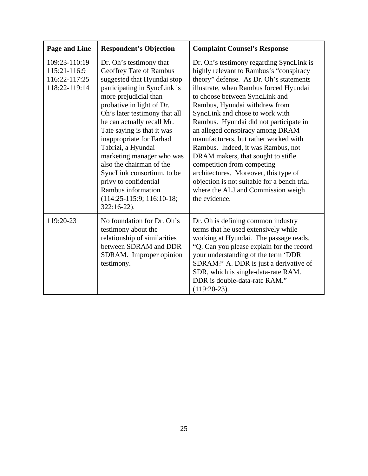| Page and Line                                                   | <b>Respondent's Objection</b>                                                                                                                                                                                                                                                                                                                                                                                                                                                                                 | <b>Complaint Counsel's Response</b>                                                                                                                                                                                                                                                                                                                                                                                                                                                                                                                                                                                                                            |
|-----------------------------------------------------------------|---------------------------------------------------------------------------------------------------------------------------------------------------------------------------------------------------------------------------------------------------------------------------------------------------------------------------------------------------------------------------------------------------------------------------------------------------------------------------------------------------------------|----------------------------------------------------------------------------------------------------------------------------------------------------------------------------------------------------------------------------------------------------------------------------------------------------------------------------------------------------------------------------------------------------------------------------------------------------------------------------------------------------------------------------------------------------------------------------------------------------------------------------------------------------------------|
| 109:23-110:19<br>115:21-116:9<br>116:22-117:25<br>118:22-119:14 | Dr. Oh's testimony that<br>Geoffrey Tate of Rambus<br>suggested that Hyundai stop<br>participating in SyncLink is<br>more prejudicial than<br>probative in light of Dr.<br>Oh's later testimony that all<br>he can actually recall Mr.<br>Tate saying is that it was<br>inappropriate for Farhad<br>Tabrizi, a Hyundai<br>marketing manager who was<br>also the chairman of the<br>SyncLink consortium, to be<br>privy to confidential<br>Rambus information<br>$(114:25-115:9; 116:10-18;$<br>$322:16-22$ ). | Dr. Oh's testimony regarding SyncLink is<br>highly relevant to Rambus's "conspiracy<br>theory" defense. As Dr. Oh's statements<br>illustrate, when Rambus forced Hyundai<br>to choose between SyncLink and<br>Rambus, Hyundai withdrew from<br>SyncLink and chose to work with<br>Rambus. Hyundai did not participate in<br>an alleged conspiracy among DRAM<br>manufacturers, but rather worked with<br>Rambus. Indeed, it was Rambus, not<br>DRAM makers, that sought to stifle<br>competition from competing<br>architectures. Moreover, this type of<br>objection is not suitable for a bench trial<br>where the ALJ and Commission weigh<br>the evidence. |
| 119:20-23                                                       | No foundation for Dr. Oh's<br>testimony about the<br>relationship of similarities<br>between SDRAM and DDR<br>SDRAM. Improper opinion<br>testimony.                                                                                                                                                                                                                                                                                                                                                           | Dr. Oh is defining common industry<br>terms that he used extensively while<br>working at Hyundai. The passage reads,<br>"Q. Can you please explain for the record<br>your understanding of the term 'DDR<br>SDRAM?' A. DDR is just a derivative of<br>SDR, which is single-data-rate RAM.<br>DDR is double-data-rate RAM."<br>$(119:20-23).$                                                                                                                                                                                                                                                                                                                   |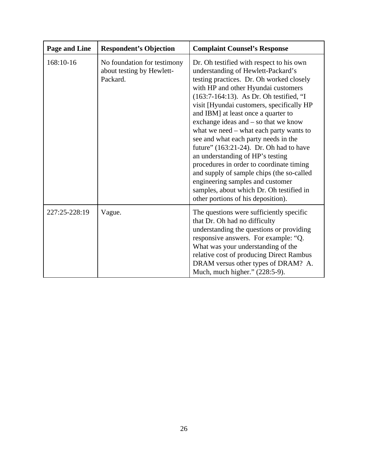| <b>Page and Line</b> | <b>Respondent's Objection</b>                                        | <b>Complaint Counsel's Response</b>                                                                                                                                                                                                                                                                                                                                                                                                                                                                                                                                                                                                                                                                                       |
|----------------------|----------------------------------------------------------------------|---------------------------------------------------------------------------------------------------------------------------------------------------------------------------------------------------------------------------------------------------------------------------------------------------------------------------------------------------------------------------------------------------------------------------------------------------------------------------------------------------------------------------------------------------------------------------------------------------------------------------------------------------------------------------------------------------------------------------|
| 168:10-16            | No foundation for testimony<br>about testing by Hewlett-<br>Packard. | Dr. Oh testified with respect to his own<br>understanding of Hewlett-Packard's<br>testing practices. Dr. Oh worked closely<br>with HP and other Hyundai customers<br>(163:7-164:13). As Dr. Oh testified, "I<br>visit [Hyundai customers, specifically HP<br>and IBM] at least once a quarter to<br>exchange ideas and – so that we know<br>what we need – what each party wants to<br>see and what each party needs in the<br>future" (163:21-24). Dr. Oh had to have<br>an understanding of HP's testing<br>procedures in order to coordinate timing<br>and supply of sample chips (the so-called<br>engineering samples and customer<br>samples, about which Dr. Oh testified in<br>other portions of his deposition). |
| 227:25-228:19        | Vague.                                                               | The questions were sufficiently specific<br>that Dr. Oh had no difficulty<br>understanding the questions or providing<br>responsive answers. For example: "Q.<br>What was your understanding of the<br>relative cost of producing Direct Rambus<br>DRAM versus other types of DRAM? A.<br>Much, much higher." (228:5-9).                                                                                                                                                                                                                                                                                                                                                                                                  |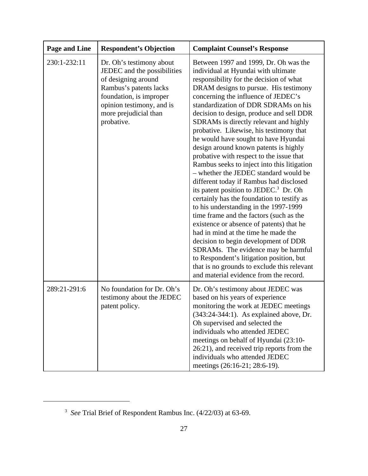| <b>Page and Line</b> | <b>Respondent's Objection</b>                                                                                                                                                                           | <b>Complaint Counsel's Response</b>                                                                                                                                                                                                                                                                                                                                                                                                                                                                                                                                                                                                                                                                                                                                                                                                                                                                                                                                                                                                                                                                                                            |
|----------------------|---------------------------------------------------------------------------------------------------------------------------------------------------------------------------------------------------------|------------------------------------------------------------------------------------------------------------------------------------------------------------------------------------------------------------------------------------------------------------------------------------------------------------------------------------------------------------------------------------------------------------------------------------------------------------------------------------------------------------------------------------------------------------------------------------------------------------------------------------------------------------------------------------------------------------------------------------------------------------------------------------------------------------------------------------------------------------------------------------------------------------------------------------------------------------------------------------------------------------------------------------------------------------------------------------------------------------------------------------------------|
| 230:1-232:11         | Dr. Oh's testimony about<br>JEDEC and the possibilities<br>of designing around<br>Rambus's patents lacks<br>foundation, is improper<br>opinion testimony, and is<br>more prejudicial than<br>probative. | Between 1997 and 1999, Dr. Oh was the<br>individual at Hyundai with ultimate<br>responsibility for the decision of what<br>DRAM designs to pursue. His testimony<br>concerning the influence of JEDEC's<br>standardization of DDR SDRAMs on his<br>decision to design, produce and sell DDR<br>SDRAMs is directly relevant and highly<br>probative. Likewise, his testimony that<br>he would have sought to have Hyundai<br>design around known patents is highly<br>probative with respect to the issue that<br>Rambus seeks to inject into this litigation<br>- whether the JEDEC standard would be<br>different today if Rambus had disclosed<br>its patent position to JEDEC. <sup>3</sup> Dr. Oh<br>certainly has the foundation to testify as<br>to his understanding in the 1997-1999<br>time frame and the factors (such as the<br>existence or absence of patents) that he<br>had in mind at the time he made the<br>decision to begin development of DDR<br>SDRAMs. The evidence may be harmful<br>to Respondent's litigation position, but<br>that is no grounds to exclude this relevant<br>and material evidence from the record. |
| 289:21-291:6         | No foundation for Dr. Oh's<br>testimony about the JEDEC<br>patent policy.                                                                                                                               | Dr. Oh's testimony about JEDEC was<br>based on his years of experience<br>monitoring the work at JEDEC meetings<br>(343:24-344:1). As explained above, Dr.<br>Oh supervised and selected the<br>individuals who attended JEDEC<br>meetings on behalf of Hyundai (23:10-<br>26:21), and received trip reports from the<br>individuals who attended JEDEC<br>meetings (26:16-21; 28:6-19).                                                                                                                                                                                                                                                                                                                                                                                                                                                                                                                                                                                                                                                                                                                                                       |

<sup>3</sup>  *See* Trial Brief of Respondent Rambus Inc. (4/22/03) at 63-69.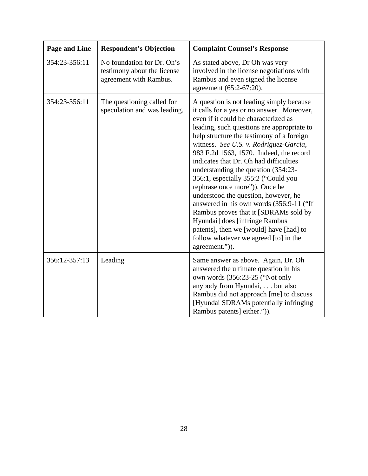| Page and Line | <b>Respondent's Objection</b>                                                       | <b>Complaint Counsel's Response</b>                                                                                                                                                                                                                                                                                                                                                                                                                                                                                                                                                                                                                                                                                                           |
|---------------|-------------------------------------------------------------------------------------|-----------------------------------------------------------------------------------------------------------------------------------------------------------------------------------------------------------------------------------------------------------------------------------------------------------------------------------------------------------------------------------------------------------------------------------------------------------------------------------------------------------------------------------------------------------------------------------------------------------------------------------------------------------------------------------------------------------------------------------------------|
| 354:23-356:11 | No foundation for Dr. Oh's<br>testimony about the license<br>agreement with Rambus. | As stated above, Dr Oh was very<br>involved in the license negotiations with<br>Rambus and even signed the license<br>agreement (65:2-67:20).                                                                                                                                                                                                                                                                                                                                                                                                                                                                                                                                                                                                 |
| 354:23-356:11 | The questioning called for<br>speculation and was leading.                          | A question is not leading simply because<br>it calls for a yes or no answer. Moreover,<br>even if it could be characterized as<br>leading, such questions are appropriate to<br>help structure the testimony of a foreign<br>witness. See U.S. v. Rodriguez-Garcia,<br>983 F.2d 1563, 1570. Indeed, the record<br>indicates that Dr. Oh had difficulties<br>understanding the question (354:23-<br>356:1, especially 355:2 ("Could you<br>rephrase once more")). Once he<br>understood the question, however, he<br>answered in his own words (356:9-11 ("If<br>Rambus proves that it [SDRAMs sold by<br>Hyundai] does [infringe Rambus<br>patents], then we [would] have [had] to<br>follow whatever we agreed [to] in the<br>agreement.")). |
| 356:12-357:13 | Leading                                                                             | Same answer as above. Again, Dr. Oh<br>answered the ultimate question in his<br>own words (356:23-25 ("Not only<br>anybody from Hyundai, but also<br>Rambus did not approach [me] to discuss<br>[Hyundai SDRAMs potentially infringing<br>Rambus patents] either.")).                                                                                                                                                                                                                                                                                                                                                                                                                                                                         |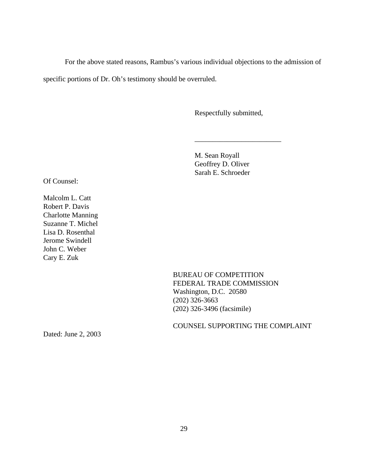For the above stated reasons, Rambus's various individual objections to the admission of specific portions of Dr. Oh's testimony should be overruled.

Respectfully submitted,

\_\_\_\_\_\_\_\_\_\_\_\_\_\_\_\_\_\_\_\_\_\_\_\_

M. Sean Royall Geoffrey D. Oliver Sarah E. Schroeder

Of Counsel:

Malcolm L. Catt Robert P. Davis Charlotte Manning Suzanne T. Michel Lisa D. Rosenthal Jerome Swindell John C. Weber Cary E. Zuk

> BUREAU OF COMPETITION FEDERAL TRADE COMMISSION Washington, D.C. 20580 (202) 326-3663 (202) 326-3496 (facsimile)

COUNSEL SUPPORTING THE COMPLAINT

Dated: June 2, 2003